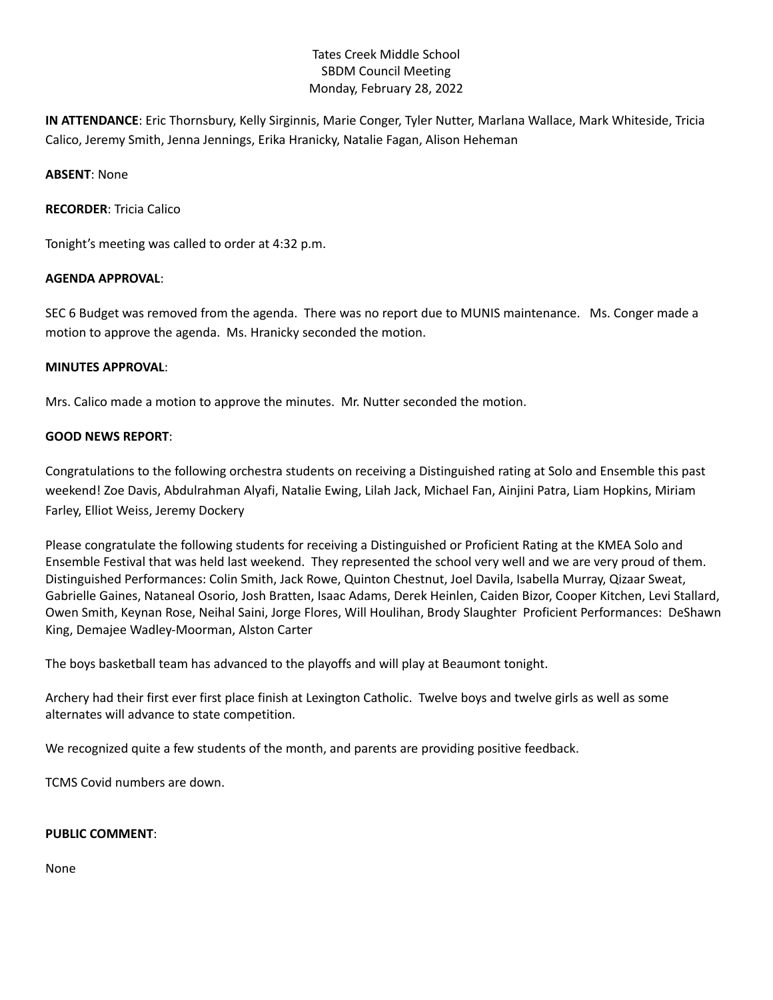# Tates Creek Middle School SBDM Council Meeting Monday, February 28, 2022

**IN ATTENDANCE**: Eric Thornsbury, Kelly Sirginnis, Marie Conger, Tyler Nutter, Marlana Wallace, Mark Whiteside, Tricia Calico, Jeremy Smith, Jenna Jennings, Erika Hranicky, Natalie Fagan, Alison Heheman

**ABSENT**: None

**RECORDER**: Tricia Calico

Tonight's meeting was called to order at 4:32 p.m.

### **AGENDA APPROVAL**:

SEC 6 Budget was removed from the agenda. There was no report due to MUNIS maintenance. Ms. Conger made a motion to approve the agenda. Ms. Hranicky seconded the motion.

### **MINUTES APPROVAL**:

Mrs. Calico made a motion to approve the minutes. Mr. Nutter seconded the motion.

### **GOOD NEWS REPORT**:

Congratulations to the following orchestra students on receiving a Distinguished rating at Solo and Ensemble this past weekend! Zoe Davis, Abdulrahman Alyafi, Natalie Ewing, Lilah Jack, Michael Fan, Ainjini Patra, Liam Hopkins, Miriam Farley, Elliot Weiss, Jeremy Dockery

Please congratulate the following students for receiving a Distinguished or Proficient Rating at the KMEA Solo and Ensemble Festival that was held last weekend. They represented the school very well and we are very proud of them. Distinguished Performances: Colin Smith, Jack Rowe, Quinton Chestnut, Joel Davila, Isabella Murray, Qizaar Sweat, Gabrielle Gaines, Nataneal Osorio, Josh Bratten, Isaac Adams, Derek Heinlen, Caiden Bizor, Cooper Kitchen, Levi Stallard, Owen Smith, Keynan Rose, Neihal Saini, Jorge Flores, Will Houlihan, Brody Slaughter Proficient Performances: DeShawn King, Demajee Wadley-Moorman, Alston Carter

The boys basketball team has advanced to the playoffs and will play at Beaumont tonight.

Archery had their first ever first place finish at Lexington Catholic. Twelve boys and twelve girls as well as some alternates will advance to state competition.

We recognized quite a few students of the month, and parents are providing positive feedback.

TCMS Covid numbers are down.

#### **PUBLIC COMMENT**:

None